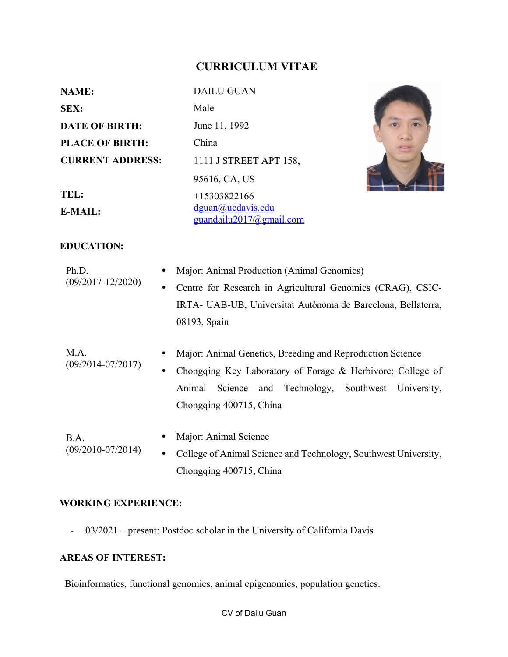# **CURRICULUM VITAE**

| <b>NAME:</b>            | <b>DAILU GUAN</b>                            |  |
|-------------------------|----------------------------------------------|--|
| <b>SEX:</b>             | Male                                         |  |
| <b>DATE OF BIRTH:</b>   | June 11, 1992                                |  |
| <b>PLACE OF BIRTH:</b>  | China                                        |  |
| <b>CURRENT ADDRESS:</b> | 1111 J STREET APT 158,                       |  |
|                         | 95616, CA, US                                |  |
| TEL:                    | $+15303822166$                               |  |
| E-MAIL:                 | dguan@ucdavis.edu<br>guandailu2017@gmail.com |  |

### **EDUCATION:**

| Ph.D.<br>$(09/2017 - 12/2020)$ | Major: Animal Production (Animal Genomics)                                                                                                                                                                      |  |
|--------------------------------|-----------------------------------------------------------------------------------------------------------------------------------------------------------------------------------------------------------------|--|
|                                | Centre for Research in Agricultural Genomics (CRAG), CSIC-<br>$\bullet$                                                                                                                                         |  |
|                                | IRTA- UAB-UB, Universitat Autònoma de Barcelona, Bellaterra,                                                                                                                                                    |  |
|                                | 08193, Spain                                                                                                                                                                                                    |  |
| M.A.<br>$(09/2014 - 07/2017)$  | Major: Animal Genetics, Breeding and Reproduction Science<br>Chongqing Key Laboratory of Forage & Herbivore; College of<br>٠<br>Animal Science and Technology, Southwest University,<br>Chongqing 400715, China |  |
| B.A.<br>$(09/2010-07/2014)$    | Major: Animal Science<br>College of Animal Science and Technology, Southwest University,<br>$\bullet$<br>Chongqing 400715, China                                                                                |  |

## **WORKING EXPERIENCE:**

- 03/2021 – present: Postdoc scholar in the University of California Davis

# **AREAS OF INTEREST:**

Bioinformatics, functional genomics, animal epigenomics, population genetics.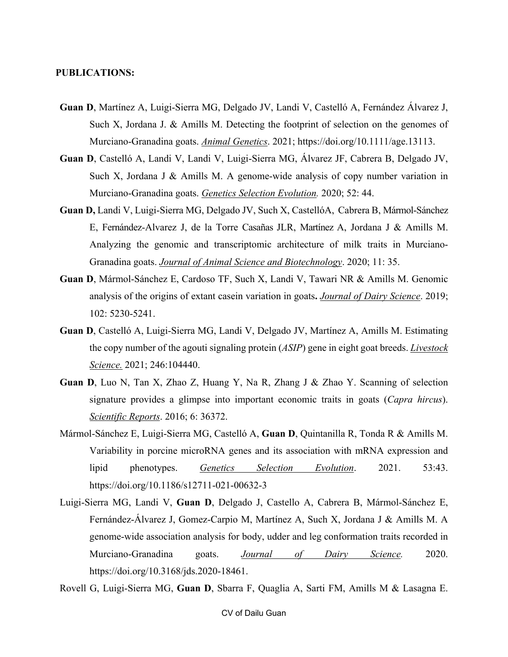#### **PUBLICATIONS:**

- **Guan D**, Martínez A, Luigi-Sierra MG, Delgado JV, Landi V, Castelló A, Fernández Álvarez J, Such X, Jordana J. & Amills M. Detecting the footprint of selection on the genomes of Murciano-Granadina goats. *Animal Genetics*. 2021; https://doi.org/10.1111/age.13113.
- **Guan D**, Castelló A, Landi V, Landi V, Luigi-Sierra MG, Álvarez JF, Cabrera B, Delgado JV, Such X, Jordana J & Amills M. A genome-wide analysis of copy number variation in Murciano-Granadina goats. *Genetics Selection Evolution.* 2020; 52: 44.
- **Guan D,** Landi V, Luigi-Sierra MG, Delgado JV, Such X, CastellóA, Cabrera B, Mármol-Sánchez E, Fernández-Alvarez J, de la Torre Casañas JLR, Martínez A, Jordana J & Amills M. Analyzing the genomic and transcriptomic architecture of milk traits in Murciano-Granadina goats. *Journal of Animal Science and Biotechnology*. 2020; 11: 35.
- **Guan D**, Mármol-Sánchez E, Cardoso TF, Such X, Landi V, Tawari NR & Amills M. Genomic analysis of the origins of extant casein variation in goats**.** *Journal of Dairy Science*. 2019; 102: 5230-5241.
- **Guan D**, Castelló A, Luigi-Sierra MG, Landi V, Delgado JV, Martínez A, Amills M. Estimating the copy number of the agouti signaling protein (*ASIP*) gene in eight goat breeds. *Livestock Science.* 2021; 246:104440.
- **Guan D**, Luo N, Tan X, Zhao Z, Huang Y, Na R, Zhang J & Zhao Y. Scanning of selection signature provides a glimpse into important economic traits in goats (*Capra hircus*). *Scientific Reports*. 2016; 6: 36372.
- Mármol-Sánchez E, Luigi-Sierra MG, Castelló A, **Guan D**, Quintanilla R, Tonda R & Amills M. Variability in porcine microRNA genes and its association with mRNA expression and lipid phenotypes. *Genetics Selection Evolution*. 2021. 53:43. https://doi.org/10.1186/s12711-021-00632-3
- Luigi-Sierra MG, Landi V, **Guan D**, Delgado J, Castello A, Cabrera B, Mármol-Sánchez E, Fernández-Álvarez J, Gomez-Carpio M, Martínez A, Such X, Jordana J & Amills M. A genome-wide association analysis for body, udder and leg conformation traits recorded in Murciano-Granadina goats. *Journal of Dairy Science.* 2020. https://doi.org/10.3168/jds.2020-18461.
- Rovell G, Luigi-Sierra MG, **Guan D**, Sbarra F, Quaglia A, Sarti FM, Amills M & Lasagna E.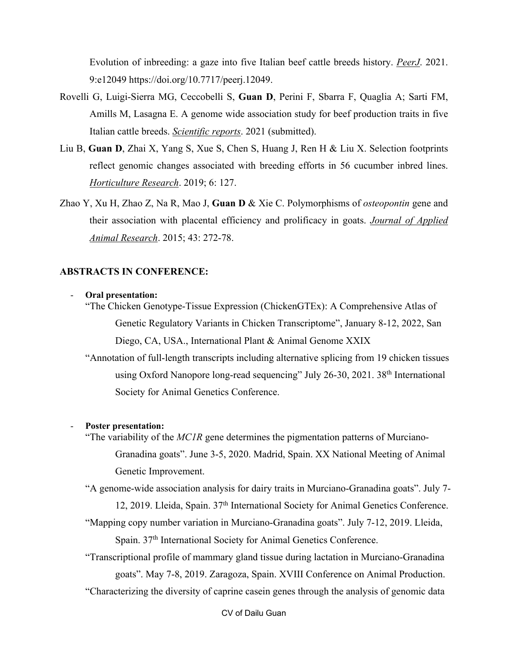Evolution of inbreeding: a gaze into five Italian beef cattle breeds history. *PeerJ*. 2021. 9:e12049 https://doi.org/10.7717/peerj.12049.

- Rovelli G, Luigi-Sierra MG, Ceccobelli S, **Guan D**, Perini F, Sbarra F, Quaglia A; Sarti FM, Amills M, Lasagna E. A genome wide association study for beef production traits in five Italian cattle breeds. *Scientific reports*. 2021 (submitted).
- Liu B, **Guan D**, Zhai X, Yang S, Xue S, Chen S, Huang J, Ren H & Liu X. Selection footprints reflect genomic changes associated with breeding efforts in 56 cucumber inbred lines. *Horticulture Research*. 2019; 6: 127.
- Zhao Y, Xu H, Zhao Z, Na R, Mao J, **Guan D** & Xie C. Polymorphisms of *osteopontin* gene and their association with placental efficiency and prolificacy in goats. *Journal of Applied Animal Research*. 2015; 43: 272-78.

### **ABSTRACTS IN CONFERENCE:**

#### - **Oral presentation:**

"The Chicken Genotype-Tissue Expression (ChickenGTEx): A Comprehensive Atlas of Genetic Regulatory Variants in Chicken Transcriptome", January 8-12, 2022, San Diego, CA, USA., International Plant & Animal Genome XXIX

"Annotation of full-length transcripts including alternative splicing from 19 chicken tissues using Oxford Nanopore long-read sequencing" July 26-30, 2021. 38<sup>th</sup> International Society for Animal Genetics Conference.

### - **Poster presentation:**

"The variability of the *MC1R* gene determines the pigmentation patterns of Murciano-Granadina goats". June 3-5, 2020. Madrid, Spain. XX National Meeting of Animal Genetic Improvement.

"A genome-wide association analysis for dairy traits in Murciano-Granadina goats". July 7- 12, 2019. Lleida, Spain. 37th International Society for Animal Genetics Conference.

"Mapping copy number variation in Murciano-Granadina goats". July 7-12, 2019. Lleida, Spain. 37<sup>th</sup> International Society for Animal Genetics Conference.

"Transcriptional profile of mammary gland tissue during lactation in Murciano-Granadina goats". May 7-8, 2019. Zaragoza, Spain. XVIII Conference on Animal Production.

"Characterizing the diversity of caprine casein genes through the analysis of genomic data